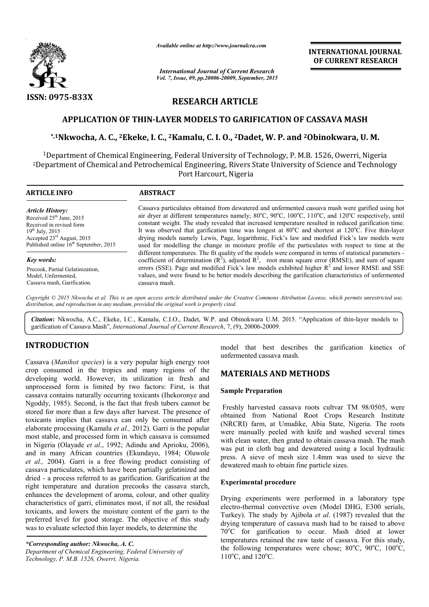

*Available online at http://www.journalcra.com*

*International Journal of Current Research Vol. 7, Issue, 09, pp.20006-20009, September, 2015* **INTERNATIONAL INTERNATIONAL JOURNAL OF CURRENT RESEARCH** 

# **RESEARCH ARTICLE**

## **APPLICATION OF THIN- -LAYER MODELS TO GARIFICATION OF CASSAVA MASH LAYER MASH**

# **\*,1Nkwocha, A. C., 2Ekeke, I. , C., 2Kamalu, C. I. O., 2Dadet, W. P. and 2Obinokwara Obinokwara, U. M.**

<sup>1</sup>Department of Chemical Engineering, Federal University of Technology, P. M.B. 1526, Owerri, Nigeria 2Department of Chemical and Petrochemical Engineering, Rivers State University of Science and Technology <sup>1</sup>Department of Chemical Engineering, Federal University of To<br>! Department of Chemical and Petrochemical Engineering, Rivers<br>Port Harcourt, Nigeria of

| <b>ARTICLE INFO</b>                               | <b>ABSTRACT</b>                                                                                                                                                                                                      |  |
|---------------------------------------------------|----------------------------------------------------------------------------------------------------------------------------------------------------------------------------------------------------------------------|--|
| <b>Article History:</b>                           | Cassava particulates obtained from dewatered and unfermented cassava mash were garified using hot                                                                                                                    |  |
| Received $25th$ June, 2015                        | air dryer at different temperatures namely; 80 $^{\circ}$ C, 90 $^{\circ}$ C, 100 $^{\circ}$ C, 110 $^{\circ}$ C, and 120 $^{\circ}$ C respectively, until                                                           |  |
| Received in revised form                          | constant weight. The study revealed that increased temperature resulted in reduced garification time.                                                                                                                |  |
| $19^{th}$ July, 2015                              | It was observed that garification time was longest at $80^{\circ}$ C and shortest at 120 $^{\circ}$ C. Five thin-layer                                                                                               |  |
| Accepted $23^{\text{rd}}$ August, 2015            | drying models namely Lewis, Page, logarithmic, Fick's law and modified Fick's law models were                                                                                                                        |  |
| Published online 16 <sup>th</sup> September, 2015 | used for modelling the change in moisture profile of the particulates with respect to time at the                                                                                                                    |  |
| Key words:                                        | different temperatures. The fit quality of the models were compared in terms of statistical parameters -<br>coefficient of determination $(R^2)$ , adjusted $R^2$ , root mean square error (RMSE), and sum of square |  |
| Precook, Partial Gelatinization,                  | errors (SSE). Page and modified Fick's law models exhibited higher $R2$ and lower RMSE and SSE                                                                                                                       |  |
| Model, Unfermented,                               | values, and were found to be better models describing the garification characteristics of unfermented                                                                                                                |  |
| Cassava mash, Garification.                       | cassava mash.                                                                                                                                                                                                        |  |

Copyright © 2015 Nkwocha et al. This is an open access article distributed under the Creative Commons Attribution License, which permits unrestricted use, *distribution, and reproduction in any medium, provided the original work is properly cited.*

Citation: Nkwocha, A.C., Ekeke, I.C., Kamalu, C.I.O., Dadet, W.P. and Obinokwara U.M. 2015. "Application of thin-layer models to garification of Cassava Mash", *International Journal of Current Research* , 7, (9), 20006-20009.

# **INTRODUCTION**

Cassava (*Manihot species*) is a very popular high energy root crop consumed in the tropics and many regions of the developing world. However, its utilization in fresh and unprocessed form is limited by two factors: First, is that cassava contains naturally occurring toxicants (Ihekoronye and Ngoddy, 1985). Second, is the fact that fresh tubers cannot be stored for more than a few days after harvest. The presence of toxicants implies that cassava can only be consumed after elaborate processing (Kamalu *et al.,* 2012). Garri is the popular most stable, and processed form in which cassava is consumed in Nigeria (Olayade *et al*., 1992; Adindu and Aprioku, 2006), and in many African countries (Ekundayo, 1984; Oluwole *et al.,* 2004). Garri is a free flowing product consisting of cassava particulates, which have been partially gelatinized and dried - a process referred to as garification. Garification at the right temperature and duration precooks the cassava starch, enhances the development of aroma, colour, and other quality characteristics of garri, eliminates most, if not all, the residual toxicants, and lowers the moisture content of the garri to the preferred level for good storage. The objective of this study was to evaluate selected thin layer models, to determine the

*\*Corresponding author: Nkwocha, A. C. Department of Chemical Engineering, Federal Uni University of Technology, P. M.B. 1526, Owerri, Nigeria.*

model that best describes the garification kinetics of unfermented cassava mash. model that best describes the garification kinetics of<br>
unfermented cassava mash.<br> **MATERIALS AND METHODS**<br>
Sample Preparation<br>
Freshly harvested cassava roots cultvar TM 98/0505, were

## **MATERIALS AND METHODS**

## **Sample Preparation**

obtained from National Root Crops Research Institute (NRCRI) farm, at Umudike, Abia State, Nigeria. The roots were manually peeled with knife and washed several times with clean water, then grated to obtain cassava mash. The mash was put in cloth bag and dewatered using a local hydraulic press. A sieve of mesh size 1.4mm was used to sieve the dewatered mash to obtain fine particle sizes. (NRCRI) farm, at Umudike, Abia State, Nigeria. The roots<br>were manually peeled with knife and washed several times<br>with clean water, then grated to obtain cassava mash. The mash<br>was put in cloth bag and dewatered using a lo

## **Experimental procedure**

Drying experiments were performed in a laboratory type electro-thermal convective oven (Model DHG, E300 serials, Turkey). The study by Ajibola *et al.* (1987) revealed that the drying temperature of cassava mash had to be raised to above 70°C for garification to occur. Mash dried at lower temperatures retained the raw taste of cassava. For this study, the following temperatures were chose; 80°C, 90°C, 100°C, 110°C, and 120°C. erature of cassava mash had to be raised to above<br>garification to occur. Mash dried at lower<br>s retained the raw taste of cassava. For this study,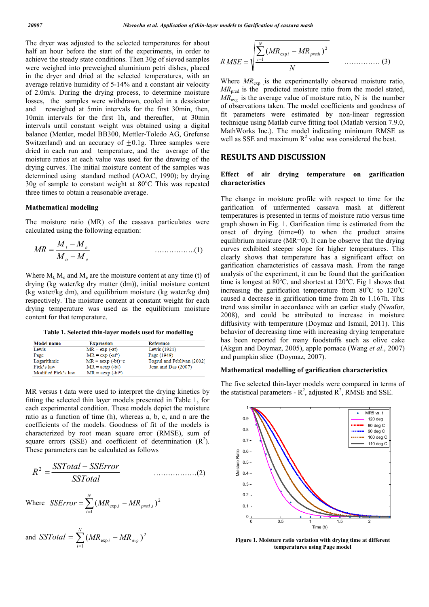The dryer was adjusted to the selected temperatures for about half an hour before the start of the experiments, in order to achieve the steady state conditions. Then 30g of sieved samples were weighed into preweighed aluminium petri dishes, placed in the dryer and dried at the selected temperatures, with an average relative humidity of 5-14% and a constant air velocity of 2.0m/s. During the drying process, to determine moisture losses, the samples were withdrawn, cooled in a dessicator and reweighed at 5min intervals for the first 30min, then, 10min intervals for the first 1h, and thereafter, at 30min intervals until constant weight was obtained using a digital balance (Mettler, model BB300, Mettler-Toledo AG, Grefense Switzerland) and an accuracy of  $\pm 0.1$ g. Three samples were dried in each run and temperature, and the average of the moisture ratios at each value was used for the drawing of the drying curves. The initial moisture content of the samples was determined using standard method (AOAC, 1990); by drying 30g of sample to constant weight at 80°C This was repeated three times to obtain a reasonable average.

#### **Mathematical modeling**

The moisture ratio (MR) of the cassava particulates were calculated using the following equation:

$$
MR = \frac{M_t - M_e}{M_o - M_e}
$$
 (1)

Where  $M_t$ ,  $M_o$  and  $M_e$  are the moisture content at any time (t) of drying (kg water/kg dry matter (dm)), initial moisture content (kg water/kg dm), and equilibrium moisture (kg water/kg dm) respectively. The moisture content at constant weight for each drying temperature was used as the equilibrium moisture content for that temperature.

**Table 1. Selected thin-layer models used for modelling**

| <b>Model name</b>   | <b>Expression</b>  | Reference                  |
|---------------------|--------------------|----------------------------|
| Lewis               | $MR = exp(-at)$    | Lewis (1921)               |
| Page                | $MR = exp(-at^b)$  | Page (1949)                |
| Logarithmic         | $MR = aexp(-bt)+c$ | Togrul and Peblivan (2002) |
| Fick's law          | $MR = aexp(-bt)$   | Jena and Das (2007)        |
| Modified Fick's law | $MR = aexp(-bt^n)$ |                            |

MR versus t data were used to interpret the drying kinetics by fitting the selected thin layer models presented in Table 1, for each experimental condition. These models depict the moisture ratio as a function of time (h), whereas a, b, c, and n are the coefficients of the models. Goodness of fit of the models is characterized by root mean square error (RMSE), sum of square errors (SSE) and coefficient of determination  $(R^2)$ . These parameters can be calculated as follows

$$
R^2 = \frac{SSTotal - SSETror}{SSTotal}
$$
 (2)

Where 
$$
SSError = \sum_{i=1}^{N} (MR_{\text{exp},i} - MR_{\text{pred},i})^2
$$

and 
$$
SSTotal = \sum_{i=1}^{N} (MR_{\exp i} - MR_{\text{avg}})^2
$$

$$
RMSE = \sqrt{\frac{\sum_{i=1}^{N} (MR_{\exp i} - MR_{\text{pred}i})^2}{N}}
$$
 (3)

Where  $MR_{\text{exp}}$  is the experimentally observed moisture ratio, *MR*<sub>pred</sub> is the predicted moisture ratio from the model stated,  $MR_{\text{avg}}$  is the average value of moisture ratio, N is the number of observations taken. The model coefficients and goodness of fit parameters were estimated by non-linear regression technique using Matlab curve fitting tool (Matlab version 7.9.0, MathWorks Inc.). The model indicating minimum RMSE as well as SSE and maximum  $R^2$  value was considered the best.

## **RESULTS AND DISCUSSION**

### **Effect of air drying temperature on garification characteristics**

The change in moisture profile with respect to time for the garification of unfermented cassava mash at different temperatures is presented in terms of moisture ratio versus time graph shown in Fig. 1. Garification time is estimated from the onset of drying (time=0) to when the product attains equilibrium moisture (MR=0). It can be observe that the drying curves exhibited steeper slope for higher temperatures. This clearly shows that temperature has a significant effect on garification characteristics of cassava mash. From the range analysis of the experiment, it can be found that the garification time is longest at  $80^{\circ}$ C, and shortest at  $120^{\circ}$ C. Fig 1 shows that increasing the garification temperature from  $80^{\circ}$ C to  $120^{\circ}$ C caused a decrease in garification time from 2h to 1.167h. This trend was similar in accordance with an earlier study (Nwafor, 2008), and could be attributed to increase in moisture diffusivity with temperature (Doymaz and Ismail, 2011). This behavior of decreasing time with increasing drying temperature has been reported for many foodstuffs such as olive cake (Akgun and Doymaz, 2005), apple pomace (Wang *et al*., 2007) and pumpkin slice (Doymaz, 2007).

### **Mathematical modelling of garification characteristics**

The five selected thin-layer models were compared in terms of the statistical parameters -  $R^2$ , adjusted  $R^2$ , RMSE and SSE.



**Figure 1. Moisture ratio variation with drying time at different temperatures using Page model**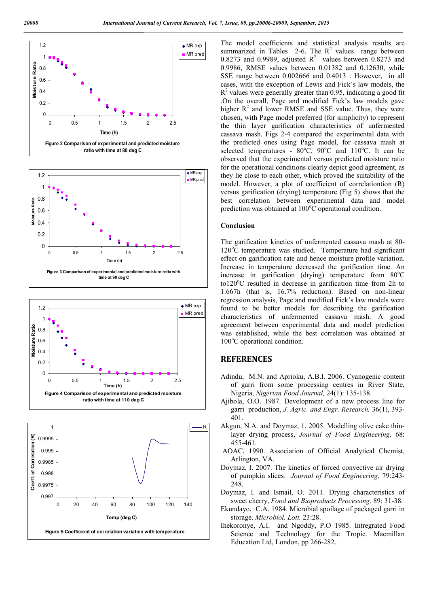







The model coefficients and statistical analysis results are summarized in Tables  $2-6$ . The  $R^2$  values range between 0.8273 and 0.9989, adjusted  $R^2$  values between 0.8273 and 0.9986, RMSE values between 0.01382 and 0.12630, while SSE range between 0.002666 and 0.4013 . However, in all cases, with the exception of Lewis and Fick's law models, the  $R<sup>2</sup>$  values were generally greater than 0.95, indicating a good fit .On the overall, Page and modified Fick's law models gave higher  $R^2$  and lower RMSE and SSE value. Thus, they were chosen, with Page model preferred (for simplicity) to represent the thin layer garification characteristics of unfermented cassava mash. Figs 2-4 compared the experimental data with the predicted ones using Page model, for cassava mash at selected temperatures -  $80^{\circ}$ C,  $90^{\circ}$ C and  $110^{\circ}$ C. It can be observed that the experimental versus predicted moisture ratio for the operational conditions clearly depict good agreement, as they lie close to each other, which proved the suitability of the model. However, a plot of coefficient of correlationtion (R) versus garification (drying) temperature (Fig 5) shows that the best correlation between experimental data and model prediction was obtained at 100°C operational condition.

## **Conclusion**

The garification kinetics of unfermented cassava mash at 80- 120°C temperature was studied. Temperature had significant effect on garification rate and hence moisture profile variation. Increase in temperature decreased the garification time. An increase in garification (drying) temperature from 80°C to120°C resulted in decrease in garification time from 2h to 1.667h (that is, 16.7% reduction). Based on non-linear regression analysis, Page and modified Fick's law models were found to be better models for describing the garification characteristics of unfermented cassava mash. A good agreement between experimental data and model prediction was established, while the best correlation was obtained at 100°C operational condition.

## **REFERENCES**

- Adindu, M.N. and Aprioku, A.B.I. 2006. Cyanogenic content of garri from some processing centres in River State, Nigeria, *Nigerian Food Journal,* 24(1): 135-138.
- Ajibola, O.O. 1987. Development of a new process line for garri production, *J. Agric. and Engr. Research,* 36(1), 393- 401.
- Akgun, N.A. and Doymaz, 1. 2005. Modelling olive cake thinlayer drying process, *Journal of Food Engineering,* 68: 455-461.
- AOAC, 1990. Association of Official Analytical Chemist, Arlington, VA.
- Doymaz, I. 2007. The kinetics of forced convective air drying of pumpkin slices*. Journal of Food Engineering,* 79:243- 248.
- Doymaz, I. and Ismail, O. 2011. Drying characteristics of sweet cherry, *Food and Bioproducts Processing,* 89: 31-38.
- Ekundayo, C.A. 1984. Microbial spoilage of packaged garri in storage. *Microbiol. Lott.* 23:28.
- Ihekoronye, A.I. and Ngoddy, P.O 1985. Intregrated Food Science and Technology for the Tropic. Macmillan Education Ltd, London, pp 266-282.